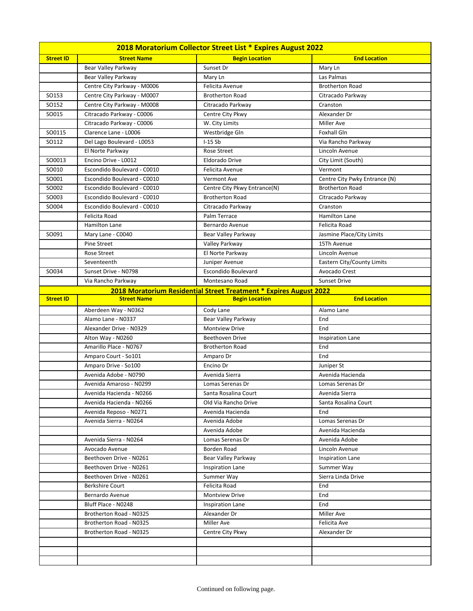| 2018 Moratorium Collector Street List * Expires August 2022 |                             |                                                                    |                               |
|-------------------------------------------------------------|-----------------------------|--------------------------------------------------------------------|-------------------------------|
| <b>Street ID</b>                                            | <b>Street Name</b>          | <b>Begin Location</b>                                              | <b>End Location</b>           |
|                                                             | <b>Bear Valley Parkway</b>  | Sunset Dr                                                          | Mary Ln                       |
|                                                             | Bear Valley Parkway         | Mary Ln                                                            | Las Palmas                    |
|                                                             | Centre City Parkway - M0006 | Felicita Avenue                                                    | <b>Brotherton Road</b>        |
| SO153                                                       | Centre City Parkway - M0007 | <b>Brotherton Road</b>                                             | Citracado Parkway             |
| SO152                                                       | Centre City Parkway - M0008 | Citracado Parkway                                                  | Cranston                      |
| SO015                                                       | Citracado Parkway - C0006   | Centre City Pkwy                                                   | Alexander Dr                  |
|                                                             | Citracado Parkway - C0006   | W. City Limits                                                     | <b>Miller Ave</b>             |
| SO0115                                                      | Clarence Lane - L0006       | Westbridge Gln                                                     | <b>Foxhall Gln</b>            |
| SO112                                                       | Del Lago Boulevard - L0053  | $I-15Sb$                                                           | Via Rancho Parkway            |
|                                                             | El Norte Parkway            | Rose Street                                                        | Lincoln Avenue                |
| SO0013                                                      | Encino Drive - L0012        | <b>Eldorado Drive</b>                                              | City Limit (South)            |
| SO010                                                       | Escondido Boulevard - C0010 | Felicita Avenue                                                    | Vermont                       |
| SO001                                                       | Escondido Boulevard - C0010 | Vermont Ave                                                        | Centre City Pwky Entrance (N) |
| SO002                                                       | Escondido Boulevard - C0010 | Centre City Pkwy Entrance(N)                                       | <b>Brotherton Road</b>        |
| SO003                                                       | Escondido Boulevard - C0010 | <b>Brotherton Road</b>                                             | Citracado Parkway             |
| SO004                                                       | Escondido Boulevard - C0010 | Citracado Parkway                                                  | Cranston                      |
|                                                             | Felicita Road               | Palm Terrace                                                       | Hamilton Lane                 |
|                                                             | Hamilton Lane               | Bernardo Avenue                                                    | Felicita Road                 |
| SO091                                                       | Mary Lane - C0040           | Bear Valley Parkway                                                | Jasmine Place/City Limits     |
|                                                             | Pine Street                 | Valley Parkway                                                     | 15Th Avenue                   |
|                                                             | Rose Street                 | El Norte Parkway                                                   | Lincoln Avenue                |
|                                                             | Seventeenth                 | Juniper Avenue                                                     | Eastern City/County Limits    |
| SO034                                                       | Sunset Drive - N0798        | Escondido Boulevard                                                | Avocado Crest                 |
|                                                             | Via Rancho Parkway          | Montesano Road                                                     | <b>Sunset Drive</b>           |
|                                                             |                             | 2018 Moratorium Residential Street Treatment * Expires August 2022 |                               |
| <b>Street ID</b>                                            | <b>Street Name</b>          | <b>Begin Location</b>                                              | <b>End Location</b>           |
|                                                             | Aberdeen Way - N0362        | Cody Lane                                                          | Alamo Lane                    |
|                                                             | Alamo Lane - N0337          | <b>Bear Valley Parkway</b>                                         | End                           |
|                                                             | Alexander Drive - N0329     | <b>Montview Drive</b>                                              | End                           |
|                                                             | Alton Way - N0260           | Beethoven Drive                                                    | <b>Inspiration Lane</b>       |
|                                                             | Amarillo Place - N0767      | <b>Brotherton Road</b>                                             | End                           |
|                                                             | Amparo Court - So101        | Amparo Dr                                                          | End                           |
|                                                             | Amparo Drive - So100        | Encino Dr                                                          | Juniper St                    |
|                                                             | Avenida Adobe - N0790       | Avenida Sierra                                                     | Avenida Hacienda              |
|                                                             | Avenida Amaroso - N0299     | Lomas Serenas Dr                                                   | Lomas Serenas Dr              |
|                                                             | Avenida Hacienda - N0266    | Santa Rosalina Court                                               | Avenida Sierra                |
|                                                             | Avenida Hacienda - N0266    | Old Via Rancho Drive                                               | Santa Rosalina Court          |
|                                                             | Avenida Reposo - N0271      | Avenida Hacienda                                                   | End                           |
|                                                             | Avenida Sierra - N0264      | Avenida Adobe                                                      | Lomas Serenas Dr              |
|                                                             |                             | Avenida Adobe                                                      | Avenida Hacienda              |
|                                                             | Avenida Sierra - N0264      | Lomas Serenas Dr                                                   | Avenida Adobe                 |
|                                                             | Avocado Avenue              | Borden Road                                                        | Lincoln Avenue                |
|                                                             | Beethoven Drive - N0261     | Bear Valley Parkway                                                | Inspiration Lane              |
|                                                             | Beethoven Drive - N0261     | Inspiration Lane                                                   | Summer Way                    |
|                                                             | Beethoven Drive - N0261     | Summer Way                                                         | Sierra Linda Drive            |
|                                                             | Berkshire Court             | Felicita Road                                                      | End                           |
|                                                             | Bernardo Avenue             | <b>Montview Drive</b>                                              | End                           |
|                                                             | Bluff Place - N0248         | Inspiration Lane                                                   | End                           |
|                                                             | Brotherton Road - N0325     | Alexander Dr                                                       | Miller Ave                    |
|                                                             | Brotherton Road - N0325     | <b>Miller Ave</b>                                                  | Felicita Ave                  |
|                                                             | Brotherton Road - N0325     | Centre City Pkwy                                                   | Alexander Dr                  |
|                                                             |                             |                                                                    |                               |
|                                                             |                             |                                                                    |                               |
|                                                             |                             |                                                                    |                               |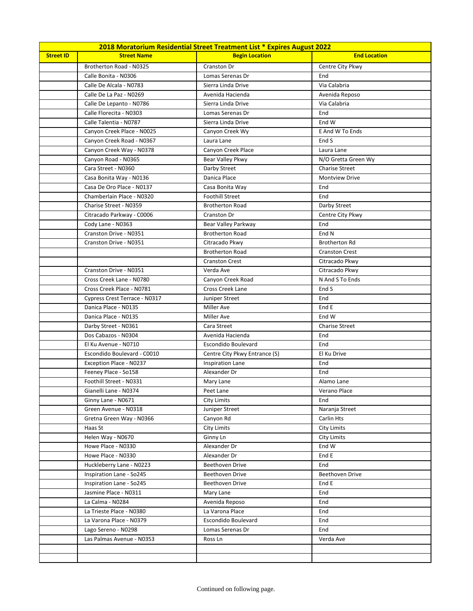|                  | 2018 Moratorium Residential Street Treatment List * Expires August 2022 |                               |                       |
|------------------|-------------------------------------------------------------------------|-------------------------------|-----------------------|
| <b>Street ID</b> | <b>Street Name</b>                                                      | <b>Begin Location</b>         | <b>End Location</b>   |
|                  | Brotherton Road - N0325                                                 | Cranston Dr                   | Centre City Pkwy      |
|                  | Calle Bonita - N0306                                                    | Lomas Serenas Dr              | End                   |
|                  | Calle De Alcala - N0783                                                 | Sierra Linda Drive            | Via Calabria          |
|                  | Calle De La Paz - N0269                                                 | Avenida Hacienda              | Avenida Reposo        |
|                  | Calle De Lepanto - N0786                                                | Sierra Linda Drive            | Via Calabria          |
|                  | Calle Florecita - N0303                                                 | Lomas Serenas Dr              | End                   |
|                  | Calle Talentia - N0787                                                  | Sierra Linda Drive            | End W                 |
|                  | Canyon Creek Place - N0025                                              | Canyon Creek Wy               | E And W To Ends       |
|                  | Canyon Creek Road - N0367                                               | Laura Lane                    | End S                 |
|                  | Canyon Creek Way - N0378                                                | Canyon Creek Place            | Laura Lane            |
|                  | Canyon Road - N0365                                                     | Bear Valley Pkwy              | N/O Gretta Green Wy   |
|                  | Cara Street - N0360                                                     | Darby Street                  | <b>Charise Street</b> |
|                  | Casa Bonita Way - N0136                                                 | Danica Place                  | <b>Montview Drive</b> |
|                  | Casa De Oro Place - N0137                                               | Casa Bonita Way               | End                   |
|                  | Chamberlain Place - N0320                                               | <b>Foothill Street</b>        | End                   |
|                  | Charise Street - N0359                                                  | <b>Brotherton Road</b>        | Darby Street          |
|                  | Citracado Parkway - C0006                                               | Cranston Dr                   | Centre City Pkwy      |
|                  | Cody Lane - N0363                                                       | Bear Valley Parkway           | End                   |
|                  | Cranston Drive - N0351                                                  | <b>Brotherton Road</b>        | End N                 |
|                  | Cranston Drive - N0351                                                  | Citracado Pkwy                | <b>Brotherton Rd</b>  |
|                  |                                                                         | <b>Brotherton Road</b>        | <b>Cranston Crest</b> |
|                  |                                                                         | <b>Cranston Crest</b>         | Citracado Pkwy        |
|                  | Cranston Drive - N0351                                                  | Verda Ave                     | Citracado Pkwy        |
|                  | Cross Creek Lane - N0780                                                | Canyon Creek Road             | N And S To Ends       |
|                  | Cross Creek Place - N0781                                               | <b>Cross Creek Lane</b>       | End S                 |
|                  | Cypress Crest Terrace - N0317                                           | Juniper Street                | End                   |
|                  | Danica Place - N0135                                                    | Miller Ave                    | End E                 |
|                  | Danica Place - N0135                                                    | Miller Ave                    | End W                 |
|                  | Darby Street - N0361                                                    | Cara Street                   | <b>Charise Street</b> |
|                  | Dos Cabazos - N0304                                                     | Avenida Hacienda              | End                   |
|                  | El Ku Avenue - N0710                                                    | Escondido Boulevard           | End                   |
|                  | Escondido Boulevard - C0010                                             | Centre City Pkwy Entrance (S) | El Ku Drive           |
|                  | Exception Place - N0237                                                 | <b>Inspiration Lane</b>       | End                   |
|                  | Feeney Place - So158                                                    | Alexander Dr                  | End                   |
|                  | Foothill Street - N0331                                                 | Mary Lane                     | Alamo Lane            |
|                  | Gianelli Lane - N0374                                                   | Peet Lane                     | Verano Place          |
|                  | Ginny Lane - N0671                                                      | City Limits                   | End                   |
|                  | Green Avenue - N0318                                                    | Juniper Street                | Naranja Street        |
|                  | Gretna Green Way - N0366                                                | Canyon Rd                     | Carlin Hts            |
|                  | Haas St                                                                 | City Limits                   | City Limits           |
|                  | Helen Way - N0670                                                       | Ginny Ln                      | City Limits           |
|                  | Howe Place - N0330                                                      | Alexander Dr                  | End W                 |
|                  | Howe Place - N0330                                                      | Alexander Dr                  | End E                 |
|                  | Huckleberry Lane - N0223                                                | Beethoven Drive               | End                   |
|                  | Inspiration Lane - So245                                                | Beethoven Drive               | Beethoven Drive       |
|                  | Inspiration Lane - So245                                                | Beethoven Drive               | End E                 |
|                  | Jasmine Place - N0311                                                   | Mary Lane                     | End                   |
|                  | La Calma - N0284                                                        | Avenida Reposo                | End                   |
|                  | La Trieste Place - N0380                                                | La Varona Place               | End                   |
|                  | La Varona Place - N0379                                                 | Escondido Boulevard           | End                   |
|                  | Lago Sereno - N0298                                                     | Lomas Serenas Dr              | End                   |
|                  | Las Palmas Avenue - N0353                                               | Ross Ln                       | Verda Ave             |
|                  |                                                                         |                               |                       |
|                  |                                                                         |                               |                       |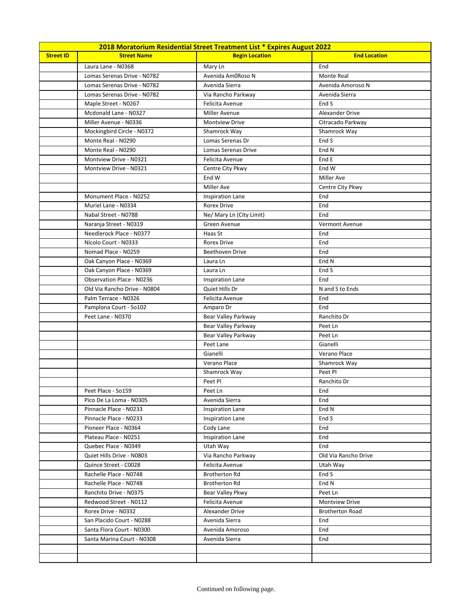|                  | 2018 Moratorium Residential Street Treatment List * Expires August 2022 |                            |                        |
|------------------|-------------------------------------------------------------------------|----------------------------|------------------------|
| <b>Street ID</b> | <b>Street Name</b>                                                      | <b>Begin Location</b>      | <b>End Location</b>    |
|                  | Laura Lane - N0368                                                      | Mary Ln                    | End                    |
|                  | Lomas Serenas Drive - N0782                                             | Avenida Am0Roso N          | Monte Real             |
|                  | Lomas Serenas Drive - N0782                                             | Avenida Sierra             | Avenida Amoroso N      |
|                  | Lomas Serenas Drive - N0782                                             | Via Rancho Parkway         | Avenida Sierra         |
|                  | Maple Street - N0267                                                    | Felicita Avenue            | End S                  |
|                  | Mcdonald Lane - N0327                                                   | Miller Avenue              | Alexander Drive        |
|                  | Miller Avenue - N0336                                                   | Montview Drive             | Citracado Parkway      |
|                  | Mockingbird Circle - N0372                                              | Shamrock Way               | Shamrock Way           |
|                  | Monte Real - N0290                                                      | Lomas Serenas Dr           | End S                  |
|                  | Monte Real - N0290                                                      | <b>Lomas Serenas Drive</b> | End N                  |
|                  | Montview Drive - N0321                                                  | Felicita Avenue            | End E                  |
|                  | Montview Drive - N0321                                                  | Centre City Pkwy           | End W                  |
|                  |                                                                         | End W                      | <b>Miller Ave</b>      |
|                  |                                                                         | <b>Miller Ave</b>          | Centre City Pkwy       |
|                  | Monument Place - N0252                                                  | <b>Inspiration Lane</b>    | End                    |
|                  | Muriel Lane - N0334                                                     | <b>Rorex Drive</b>         | End                    |
|                  | Nabal Street - N0788                                                    | Ne/ Mary Ln (City Limit)   | End                    |
|                  | Naranja Street - N0319                                                  | Green Avenue               | Vermont Avenue         |
|                  | Needlerock Place - N0377                                                | Haas St                    | End                    |
|                  | Nicolo Court - N0333                                                    | <b>Rorex Drive</b>         | End                    |
|                  | Nomad Place - N0259                                                     | <b>Beethoven Drive</b>     | End                    |
|                  | Oak Canyon Place - N0369                                                | Laura Ln                   | End N                  |
|                  | Oak Canyon Place - N0369                                                | Laura Ln                   | End S                  |
|                  | Observation Place - N0236                                               | <b>Inspiration Lane</b>    | End                    |
|                  | Old Via Rancho Drive - N0804                                            | Quiet Hills Dr             | N and S to Ends        |
|                  | Palm Terrace - N0326                                                    | Felicita Avenue            | End                    |
|                  | Pamplona Court - So102                                                  | Amparo Dr                  | End                    |
|                  | Peet Lane - N0370                                                       | Bear Valley Parkway        | Ranchito Dr            |
|                  |                                                                         | <b>Bear Valley Parkway</b> | Peet Ln                |
|                  |                                                                         | Bear Valley Parkway        | Peet Ln                |
|                  |                                                                         | Peet Lane                  | Gianelli               |
|                  |                                                                         | Gianelli                   | Verano Place           |
|                  |                                                                         | Verano Place               | Shamrock Way           |
|                  |                                                                         | Shamrock Way               | Peet Pl                |
|                  |                                                                         | Peet Pl                    | Ranchito Dr            |
|                  | Peet Place - So159                                                      | Peet Ln                    | End                    |
|                  | Pico De La Loma - N0305                                                 | Avenida Sierra             | End                    |
|                  | Pinnacle Place - N0233                                                  | <b>Inspiration Lane</b>    | End N                  |
|                  | Pinnacle Place - N0233                                                  | <b>Inspiration Lane</b>    | End S                  |
|                  | Pioneer Place - N0364                                                   | Cody Lane                  | End                    |
|                  | Plateau Place - N0251                                                   | <b>Inspiration Lane</b>    | End                    |
|                  | Quebec Place - N0349                                                    | Utah Way                   | End                    |
|                  | Quiet Hills Drive - N0803                                               | Via Rancho Parkway         | Old Via Rancho Drive   |
|                  | Quince Street - C0028                                                   | Felicita Avenue            | Utah Way               |
|                  | Rachelle Place - N0748                                                  | <b>Brotherton Rd</b>       | End S                  |
|                  | Rachelle Place - N0748                                                  | <b>Brotherton Rd</b>       | End N                  |
|                  | Ranchito Drive - N0375                                                  | Bear Valley Pkwy           | Peet Ln                |
|                  | Redwood Street - N0112                                                  | Felicita Avenue            | <b>Montview Drive</b>  |
|                  | Rorex Drive - N0332                                                     | Alexander Drive            | <b>Brotherton Road</b> |
|                  | San Placido Court - N0288                                               | Avenida Sierra             | End                    |
|                  | Santa Flora Court - N0300                                               | Avenida Amoroso            | End                    |
|                  | Santa Marina Court - N0308                                              | Avenida Sierra             | End                    |
|                  |                                                                         |                            |                        |
|                  |                                                                         |                            |                        |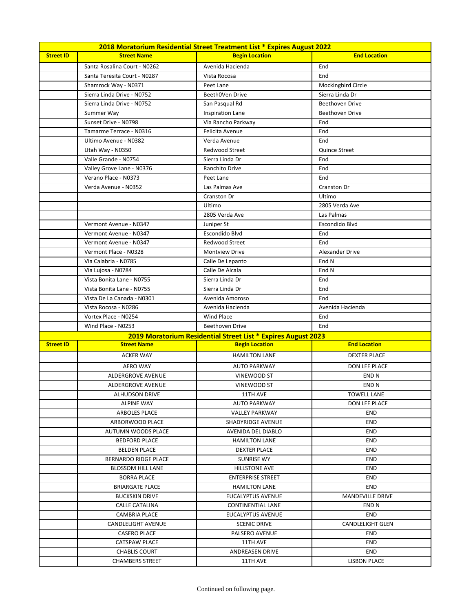|                  | 2018 Moratorium Residential Street Treatment List * Expires August 2022 |                                                               |                         |
|------------------|-------------------------------------------------------------------------|---------------------------------------------------------------|-------------------------|
| <b>Street ID</b> | <b>Street Name</b>                                                      | <b>Begin Location</b>                                         | <b>End Location</b>     |
|                  | Santa Rosalina Court - N0262                                            | Avenida Hacienda                                              | End                     |
|                  | Santa Teresita Court - N0287                                            | Vista Rocosa                                                  | End                     |
|                  | Shamrock Way - N0371                                                    | Peet Lane                                                     | Mockingbird Circle      |
|                  | Sierra Linda Drive - N0752                                              | Beeth0Ven Drive                                               | Sierra Linda Dr         |
|                  | Sierra Linda Drive - N0752                                              | San Pasqual Rd                                                | <b>Beethoven Drive</b>  |
|                  | Summer Way                                                              | <b>Inspiration Lane</b>                                       | Beethoven Drive         |
|                  | Sunset Drive - N0798                                                    | Via Rancho Parkway                                            | End                     |
|                  | Tamarme Terrace - N0316                                                 | Felicita Avenue                                               | End                     |
|                  | Ultimo Avenue - N0382                                                   | Verda Avenue                                                  | End                     |
|                  | Utah Way - N0350                                                        | Redwood Street                                                | Quince Street           |
|                  | Valle Grande - N0754                                                    | Sierra Linda Dr                                               | End                     |
|                  | Valley Grove Lane - N0376                                               | Ranchito Drive                                                | End                     |
|                  | Verano Place - N0373                                                    | Peet Lane                                                     | End                     |
|                  | Verda Avenue - N0352                                                    | Las Palmas Ave                                                | Cranston Dr             |
|                  |                                                                         | Cranston Dr                                                   | Ultimo                  |
|                  |                                                                         | Ultimo                                                        | 2805 Verda Ave          |
|                  |                                                                         | 2805 Verda Ave                                                | Las Palmas              |
|                  | Vermont Avenue - N0347                                                  | Juniper St                                                    | Escondido Blvd          |
|                  | Vermont Avenue - N0347                                                  | Escondido Blvd                                                | End                     |
|                  | Vermont Avenue - N0347                                                  | Redwood Street                                                | End                     |
|                  | Vermont Place - N0328                                                   | <b>Montview Drive</b>                                         | Alexander Drive         |
|                  | Via Calabria - N0785                                                    | Calle De Lepanto                                              | End N                   |
|                  | Via Lujosa - N0784                                                      | Calle De Alcala                                               | End N                   |
|                  | Vista Bonita Lane - N0755                                               | Sierra Linda Dr                                               | End                     |
|                  | Vista Bonita Lane - N0755                                               | Sierra Linda Dr                                               | End                     |
|                  | Vista De La Canada - N0301                                              | Avenida Amoroso                                               | End                     |
|                  | Vista Rocosa - N0286                                                    | Avenida Hacienda                                              | Avenida Hacienda        |
|                  | Vortex Place - N0254                                                    | Wind Place                                                    | End                     |
|                  | Wind Place - N0253                                                      | <b>Beethoven Drive</b>                                        | End                     |
|                  |                                                                         | 2019 Moratorium Residential Street List * Expires August 2023 |                         |
| <b>Street ID</b> | <b>Street Name</b>                                                      | <b>Begin Location</b>                                         | <b>End Location</b>     |
|                  | <b>ACKER WAY</b>                                                        | <b>HAMILTON LANE</b>                                          | <b>DEXTER PLACE</b>     |
|                  | <b>AERO WAY</b>                                                         | <b>AUTO PARKWAY</b>                                           | DON LEE PLACE           |
|                  | ALDERGROVE AVENUE                                                       | VINEWOOD ST                                                   | END N                   |
|                  | ALDERGROVE AVENUE                                                       | VINEWOOD ST                                                   | END <sub>N</sub>        |
|                  | <b>ALHUDSON DRIVE</b>                                                   | 11TH AVE                                                      | <b>TOWELL LANE</b>      |
|                  | <b>ALPINE WAY</b>                                                       | <b>AUTO PARKWAY</b>                                           | <b>DON LEE PLACE</b>    |
|                  | <b>ARBOLES PLACE</b>                                                    | <b>VALLEY PARKWAY</b>                                         | END                     |
|                  | ARBORWOOD PLACE                                                         | SHADYRIDGE AVENUE                                             | END                     |
|                  | <b>AUTUMN WOODS PLACE</b>                                               | AVENIDA DEL DIABLO                                            | <b>END</b>              |
|                  | <b>BEDFORD PLACE</b>                                                    | <b>HAMILTON LANE</b>                                          | END                     |
|                  | <b>BELDEN PLACE</b>                                                     | DEXTER PLACE                                                  | END                     |
|                  | BERNARDO RIDGE PLACE                                                    | SUNRISE WY                                                    | END                     |
|                  | <b>BLOSSOM HILL LANE</b>                                                | <b>HILLSTONE AVE</b>                                          | <b>END</b>              |
|                  | <b>BORRA PLACE</b>                                                      | <b>ENTERPRISE STREET</b>                                      | END                     |
|                  | BRIARGATE PLACE                                                         | <b>HAMILTON LANE</b>                                          | END                     |
|                  | <b>BUCKSKIN DRIVE</b>                                                   | EUCALYPTUS AVENUE                                             | MANDEVILLE DRIVE        |
|                  | CALLE CATALINA                                                          | CONTINENTIAL LANE                                             | END N                   |
|                  | <b>CAMBRIA PLACE</b>                                                    | EUCALYPTUS AVENUE                                             | END                     |
|                  | CANDLELIGHT AVENUE                                                      | <b>SCENIC DRIVE</b>                                           | <b>CANDLELIGHT GLEN</b> |
|                  | <b>CASERO PLACE</b>                                                     | PALSERO AVENUE                                                | <b>END</b>              |
|                  | CATSPAW PLACE                                                           | 11TH AVE                                                      | END                     |
|                  | <b>CHABLIS COURT</b>                                                    | ANDREASEN DRIVE                                               | <b>END</b>              |
|                  | <b>CHAMBERS STREET</b>                                                  | 11TH AVE                                                      | LISBON PLACE            |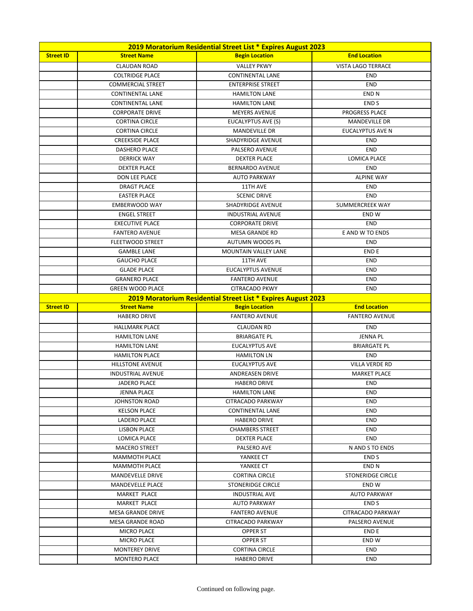| 2019 Moratorium Residential Street List * Expires August 2023 |                                               |                                                               |                           |
|---------------------------------------------------------------|-----------------------------------------------|---------------------------------------------------------------|---------------------------|
| <b>Street ID</b>                                              | <b>Street Name</b>                            | <b>Begin Location</b>                                         | <b>End Location</b>       |
|                                                               | <b>CLAUDAN ROAD</b>                           | <b>VALLEY PKWY</b>                                            | <b>VISTA LAGO TERRACE</b> |
|                                                               | <b>COLTRIDGE PLACE</b>                        | <b>CONTINENTAL LANE</b>                                       | <b>END</b>                |
|                                                               | <b>COMMERCIAL STREET</b>                      | <b>ENTERPRISE STREET</b>                                      | <b>END</b>                |
|                                                               | <b>CONTINENTAL LANE</b>                       | <b>HAMILTON LANE</b>                                          | END <sub>N</sub>          |
|                                                               | <b>CONTINENTAL LANE</b>                       | <b>HAMILTON LANE</b>                                          | <b>ENDS</b>               |
|                                                               | <b>CORPORATE DRIVE</b>                        | <b>MEYERS AVENUE</b>                                          | PROGRESS PLACE            |
|                                                               | <b>CORTINA CIRCLE</b>                         | EUCALYPTUS AVE (S)                                            | <b>MANDEVILLE DR</b>      |
|                                                               | <b>CORTINA CIRCLE</b>                         | <b>MANDEVILLE DR</b>                                          | EUCALYPTUS AVE N          |
|                                                               | <b>CREEKSIDE PLACE</b>                        | SHADYRIDGE AVENUE                                             | <b>END</b>                |
|                                                               | <b>DASHERO PLACE</b>                          | PALSERO AVENUE                                                | <b>END</b>                |
|                                                               | <b>DERRICK WAY</b>                            | <b>DEXTER PLACE</b>                                           | <b>LOMICA PLACE</b>       |
|                                                               | <b>DEXTER PLACE</b>                           | <b>BERNARDO AVENUE</b>                                        | <b>END</b>                |
|                                                               | DON LEE PLACE                                 | <b>AUTO PARKWAY</b>                                           | <b>ALPINE WAY</b>         |
|                                                               | <b>DRAGT PLACE</b>                            | 11TH AVE                                                      | <b>END</b>                |
|                                                               | <b>EASTER PLACE</b>                           | <b>SCENIC DRIVE</b>                                           | <b>END</b>                |
|                                                               | <b>EMBERWOOD WAY</b>                          | SHADYRIDGE AVENUE                                             | SUMMERCREEK WAY           |
|                                                               | <b>ENGEL STREET</b>                           | <b>INDUSTRIAL AVENUE</b>                                      | END W                     |
|                                                               | <b>EXECUTIVE PLACE</b>                        | <b>CORPORATE DRIVE</b>                                        | <b>END</b>                |
|                                                               | <b>FANTERO AVENUE</b>                         | <b>MESA GRANDE RD</b>                                         | E AND W TO ENDS           |
|                                                               | <b>FLEETWOOD STREET</b>                       | AUTUMN WOODS PL                                               | <b>END</b>                |
|                                                               | <b>GAMBLE LANE</b>                            | <b>MOUNTAIN VALLEY LANE</b>                                   | <b>ENDE</b>               |
|                                                               | <b>GAUCHO PLACE</b>                           | 11TH AVE                                                      | <b>END</b>                |
|                                                               | <b>GLADE PLACE</b>                            | <b>EUCALYPTUS AVENUE</b>                                      | <b>END</b>                |
|                                                               | <b>GRANERO PLACE</b>                          | <b>FANTERO AVENUE</b>                                         | <b>END</b>                |
|                                                               | <b>GREEN WOOD PLACE</b>                       | <b>CITRACADO PKWY</b>                                         | <b>END</b>                |
|                                                               |                                               | 2019 Moratorium Residential Street List * Expires August 2023 |                           |
|                                                               |                                               |                                                               |                           |
| <b>Street ID</b>                                              | <b>Street Name</b>                            |                                                               | <b>End Location</b>       |
|                                                               | <b>HABERO DRIVE</b>                           | <b>Begin Location</b><br><b>FANTERO AVENUE</b>                | <b>FANTERO AVENUE</b>     |
|                                                               |                                               |                                                               |                           |
|                                                               | <b>HALLMARK PLACE</b>                         | <b>CLAUDAN RD</b>                                             | <b>END</b>                |
|                                                               | <b>HAMILTON LANE</b>                          | <b>BRIARGATE PL</b>                                           | <b>JENNA PL</b>           |
|                                                               | <b>HAMILTON LANE</b>                          | <b>EUCALYPTUS AVE</b>                                         | <b>BRIARGATE PL</b>       |
|                                                               | <b>HAMILTON PLACE</b>                         | <b>HAMILTON LN</b>                                            | <b>END</b>                |
|                                                               | <b>HILLSTONE AVENUE</b>                       | <b>EUCALYPTUS AVE</b>                                         | <b>VILLA VERDE RD</b>     |
|                                                               | <b>INDUSTRIAL AVENUE</b>                      | ANDREASEN DRIVE                                               | <b>MARKET PLACE</b>       |
|                                                               | <b>JADERO PLACE</b>                           | <b>HABERO DRIVE</b>                                           | <b>END</b>                |
|                                                               | <b>JENNA PLACE</b>                            | <b>HAMILTON LANE</b>                                          | END                       |
|                                                               | JOHNSTON ROAD                                 | <b>CITRACADO PARKWAY</b>                                      | <b>END</b>                |
|                                                               | <b>KELSON PLACE</b>                           | <b>CONTINENTAL LANE</b>                                       | <b>END</b>                |
|                                                               | LADERO PLACE                                  | <b>HABERO DRIVE</b>                                           | <b>END</b>                |
|                                                               | LISBON PLACE                                  | <b>CHAMBERS STREET</b>                                        | <b>END</b>                |
|                                                               | LOMICA PLACE                                  | <b>DEXTER PLACE</b>                                           | <b>END</b>                |
|                                                               | <b>MACERO STREET</b>                          | <b>PALSERO AVE</b>                                            | N AND S TO ENDS           |
|                                                               | <b>MAMMOTH PLACE</b>                          | YANKEE CT                                                     | END S                     |
|                                                               | <b>MAMMOTH PLACE</b>                          | YANKEE CT                                                     | END N                     |
|                                                               | <b>MANDEVELLE DRIVE</b>                       | <b>CORTINA CIRCLE</b>                                         | <b>STONERIDGE CIRCLE</b>  |
|                                                               | <b>MANDEVELLE PLACE</b>                       | STONERIDGE CIRCLE                                             | END W                     |
|                                                               | MARKET PLACE                                  | <b>INDUSTRIAL AVE</b>                                         | <b>AUTO PARKWAY</b>       |
|                                                               | MARKET PLACE                                  | <b>AUTO PARKWAY</b>                                           | END S                     |
|                                                               | <b>MESA GRANDE DRIVE</b>                      | <b>FANTERO AVENUE</b>                                         | CITRACADO PARKWAY         |
|                                                               | MESA GRANDE ROAD                              | CITRACADO PARKWAY                                             | PALSERO AVENUE            |
|                                                               | MICRO PLACE                                   | <b>OPPER ST</b>                                               | END E                     |
|                                                               | <b>MICRO PLACE</b>                            | <b>OPPER ST</b>                                               | END W                     |
|                                                               | <b>MONTEREY DRIVE</b><br><b>MONTERO PLACE</b> | <b>CORTINA CIRCLE</b><br><b>HABERO DRIVE</b>                  | <b>END</b><br><b>END</b>  |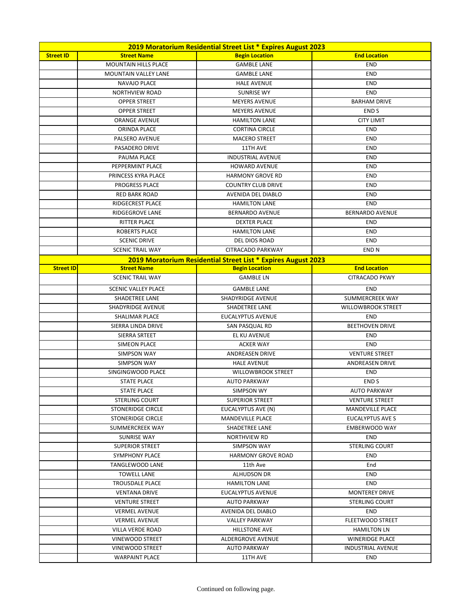| 2019 Moratorium Residential Street List * Expires August 2023 |                             |                                                               |                           |
|---------------------------------------------------------------|-----------------------------|---------------------------------------------------------------|---------------------------|
| <b>Street ID</b>                                              | <b>Street Name</b>          | <b>Begin Location</b>                                         | <b>End Location</b>       |
|                                                               | <b>MOUNTAIN HILLS PLACE</b> | <b>GAMBLE LANE</b>                                            | <b>END</b>                |
|                                                               | <b>MOUNTAIN VALLEY LANE</b> | <b>GAMBLE LANE</b>                                            | <b>END</b>                |
|                                                               | <b>NAVAJO PLACE</b>         | <b>HALE AVENUE</b>                                            | <b>END</b>                |
|                                                               | <b>NORTHVIEW ROAD</b>       | <b>SUNRISE WY</b>                                             | <b>END</b>                |
|                                                               | <b>OPPER STREET</b>         | <b>MEYERS AVENUE</b>                                          | <b>BARHAM DRIVE</b>       |
|                                                               | <b>OPPER STREET</b>         | <b>MEYERS AVENUE</b>                                          | END <sub>S</sub>          |
|                                                               | <b>ORANGE AVENUE</b>        | <b>HAMILTON LANE</b>                                          | <b>CITY LIMIT</b>         |
|                                                               | ORINDA PLACE                | <b>CORTINA CIRCLE</b>                                         | <b>END</b>                |
|                                                               | PALSERO AVENUE              | <b>MACERO STREET</b>                                          | <b>END</b>                |
|                                                               | PASADERO DRIVE              | 11TH AVE                                                      | <b>END</b>                |
|                                                               | PAUMA PLACE                 | <b>INDUSTRIAL AVENUE</b>                                      | <b>END</b>                |
|                                                               | PEPPERMINT PLACE            | <b>HOWARD AVENUE</b>                                          | <b>END</b>                |
|                                                               | PRINCESS KYRA PLACE         | <b>HARMONY GROVE RD</b>                                       | <b>END</b>                |
|                                                               | <b>PROGRESS PLACE</b>       | <b>COUNTRY CLUB DRIVE</b>                                     | <b>END</b>                |
|                                                               | <b>RED BARK ROAD</b>        | AVENIDA DEL DIABLO                                            | <b>END</b>                |
|                                                               | <b>RIDGECREST PLACE</b>     | <b>HAMILTON LANE</b>                                          | <b>END</b>                |
|                                                               | <b>RIDGEGROVE LANE</b>      | <b>BERNARDO AVENUE</b>                                        | <b>BERNARDO AVENUE</b>    |
|                                                               | <b>RITTER PLACE</b>         | <b>DEXTER PLACE</b>                                           | <b>END</b>                |
|                                                               | <b>ROBERTS PLACE</b>        | <b>HAMILTON LANE</b>                                          | <b>END</b>                |
|                                                               | <b>SCENIC DRIVE</b>         | DEL DIOS ROAD                                                 | <b>END</b>                |
|                                                               | <b>SCENIC TRAIL WAY</b>     | CITRACADO PARKWAY                                             | END <sub>N</sub>          |
|                                                               |                             | 2019 Moratorium Residential Street List * Expires August 2023 |                           |
| <b>Street ID</b>                                              | <b>Street Name</b>          | <b>Begin Location</b>                                         | <b>End Location</b>       |
|                                                               | <b>SCENIC TRAIL WAY</b>     | <b>GAMBLE LN</b>                                              | <b>CITRACADO PKWY</b>     |
|                                                               | <b>SCENIC VALLEY PLACE</b>  | <b>GAMBLE LANE</b>                                            | <b>END</b>                |
|                                                               | SHADETREE LANE              | SHADYRIDGE AVENUE                                             | SUMMERCREEK WAY           |
|                                                               | SHADYRIDGE AVENUE           | SHADETREE LANE                                                | <b>WILLOWBROOK STREET</b> |
|                                                               | SHALIMAR PLACE              | EUCALYPTUS AVENUE                                             | <b>END</b>                |
|                                                               | SIERRA LINDA DRIVE          | SAN PASQUAL RD                                                | <b>BEETHOVEN DRIVE</b>    |
|                                                               | SIERRA SRTEET               | EL KU AVENUE                                                  | <b>END</b>                |
|                                                               | SIMEON PLACE                | <b>ACKER WAY</b>                                              | <b>END</b>                |
|                                                               | <b>SIMPSON WAY</b>          | <b>ANDREASEN DRIVE</b>                                        | <b>VENTURE STREET</b>     |
|                                                               | <b>SIMPSON WAY</b>          | <b>HALE AVENUE</b>                                            | <b>ANDREASEN DRIVE</b>    |
|                                                               | SINGINGWOOD PLACE           | <b>WILLOWBROOK STREET</b>                                     | <b>END</b>                |
|                                                               | <b>STATE PLACE</b>          | <b>AUTO PARKWAY</b>                                           | END <sub>S</sub>          |
|                                                               | <b>STATE PLACE</b>          | SIMPSON WY                                                    | <b>AUTO PARKWAY</b>       |
|                                                               | <b>STERLING COURT</b>       | <b>SUPERIOR STREET</b>                                        | <b>VENTURE STREET</b>     |
|                                                               | STONERIDGE CIRCLE           | EUCALYPTUS AVE (N)                                            | <b>MANDEVILLE PLACE</b>   |
|                                                               | <b>STONERIDGE CIRCLE</b>    | <b>MANDEVILLE PLACE</b>                                       | EUCALYPTUS AVE S          |
|                                                               | SUMMERCREEK WAY             | <b>SHADETREE LANE</b>                                         | <b>EMBERWOOD WAY</b>      |
|                                                               | <b>SUNRISE WAY</b>          | <b>NORTHVIEW RD</b>                                           | <b>END</b>                |
|                                                               | <b>SUPERIOR STREET</b>      | <b>SIMPSON WAY</b>                                            | <b>STERLING COURT</b>     |
|                                                               | SYMPHONY PLACE              | <b>HARMONY GROVE ROAD</b>                                     | <b>END</b>                |
|                                                               | <b>TANGLEWOOD LANE</b>      | 11th Ave                                                      | End                       |
|                                                               | <b>TOWELL LANE</b>          | ALHUDSON DR                                                   | <b>END</b>                |
|                                                               | <b>TROUSDALE PLACE</b>      | <b>HAMILTON LANE</b>                                          | <b>END</b>                |
|                                                               | <b>VENTANA DRIVE</b>        | EUCALYPTUS AVENUE                                             | <b>MONTEREY DRIVE</b>     |
|                                                               | <b>VENTURE STREET</b>       | <b>AUTO PARKWAY</b>                                           | <b>STERLING COURT</b>     |
|                                                               | <b>VERMEL AVENUE</b>        | AVENIDA DEL DIABLO                                            | <b>END</b>                |
|                                                               | <b>VERMEL AVENUE</b>        | VALLEY PARKWAY                                                | FLEETWOOD STREET          |
|                                                               | VILLA VERDE ROAD            | <b>HILLSTONE AVE</b>                                          | <b>HAMILTON LN</b>        |
|                                                               | VINEWOOD STREET             | ALDERGROVE AVENUE                                             | <b>WINERIDGE PLACE</b>    |
|                                                               | VINEWOOD STREET             | <b>AUTO PARKWAY</b>                                           | <b>INDUSTRIAL AVENUE</b>  |
|                                                               | <b>WARPAINT PLACE</b>       | 11TH AVE                                                      | <b>END</b>                |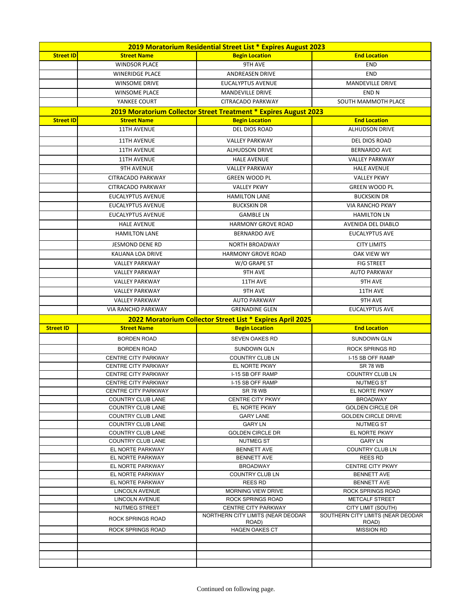| 2019 Moratorium Residential Street List * Expires August 2023 |                                               |                                                                  |                                            |
|---------------------------------------------------------------|-----------------------------------------------|------------------------------------------------------------------|--------------------------------------------|
| <b>Street ID</b>                                              | <b>Street Name</b>                            | <b>Begin Location</b>                                            | <b>End Location</b>                        |
|                                                               | <b>WINDSOR PLACE</b>                          | 9TH AVE                                                          | <b>END</b>                                 |
|                                                               | <b>WINERIDGE PLACE</b>                        | <b>ANDREASEN DRIVE</b>                                           | <b>END</b>                                 |
|                                                               | <b>WINSOME DRIVE</b>                          | <b>EUCALYPTUS AVENUE</b>                                         | MANDEVILLE DRIVE                           |
|                                                               | <b>WINSOME PLACE</b>                          | <b>MANDEVILLE DRIVE</b>                                          | <b>END N</b>                               |
|                                                               | YANKEE COURT                                  | CITRACADO PARKWAY                                                | SOUTH MAMMOTH PLACE                        |
|                                                               |                                               | 2019 Moratorium Collector Street Treatment * Expires August 2023 |                                            |
| <b>Street ID</b>                                              | <b>Street Name</b>                            | <b>Begin Location</b>                                            | <b>End Location</b>                        |
|                                                               | <b>11TH AVENUE</b>                            | DEL DIOS ROAD                                                    | <b>ALHUDSON DRIVE</b>                      |
|                                                               | <b>11TH AVENUE</b>                            | <b>VALLEY PARKWAY</b>                                            | DEL DIOS ROAD                              |
|                                                               | <b>11TH AVENUE</b>                            | <b>ALHUDSON DRIVE</b>                                            | <b>BERNARDO AVE</b>                        |
|                                                               | <b>11TH AVENUE</b>                            | <b>HALE AVENUE</b>                                               | <b>VALLEY PARKWAY</b>                      |
|                                                               | <b>9TH AVENUE</b>                             | <b>VALLEY PARKWAY</b>                                            | <b>HALE AVENUE</b>                         |
|                                                               | CITRACADO PARKWAY                             | <b>GREEN WOOD PL</b>                                             | <b>VALLEY PKWY</b>                         |
|                                                               | <b>CITRACADO PARKWAY</b>                      | <b>VALLEY PKWY</b>                                               | <b>GREEN WOOD PL</b>                       |
|                                                               | <b>EUCALYPTUS AVENUE</b>                      | <b>HAMILTON LANE</b>                                             | <b>BUCKSKIN DR</b>                         |
|                                                               | <b>EUCALYPTUS AVENUE</b>                      | <b>BUCKSKIN DR</b>                                               | <b>VIA RANCHO PKWY</b>                     |
|                                                               | <b>EUCALYPTUS AVENUE</b>                      | <b>GAMBLE LN</b>                                                 | <b>HAMILTON LN</b>                         |
|                                                               |                                               |                                                                  |                                            |
|                                                               | <b>HALE AVENUE</b>                            | <b>HARMONY GROVE ROAD</b><br><b>BERNARDO AVE</b>                 | AVENIDA DEL DIABLO                         |
|                                                               | <b>HAMILTON LANE</b>                          |                                                                  | <b>EUCALYPTUS AVE</b>                      |
|                                                               | <b>JESMOND DENE RD</b>                        | <b>NORTH BROADWAY</b>                                            | <b>CITY LIMITS</b>                         |
|                                                               | KAUANA LOA DRIVE                              | <b>HARMONY GROVE ROAD</b>                                        | OAK VIEW WY                                |
|                                                               | <b>VALLEY PARKWAY</b>                         | W/O GRAPE ST                                                     | <b>FIG STREET</b>                          |
|                                                               | <b>VALLEY PARKWAY</b>                         | <b>9TH AVE</b>                                                   | <b>AUTO PARKWAY</b>                        |
|                                                               | <b>VALLEY PARKWAY</b>                         | 11TH AVE                                                         | <b>9TH AVE</b>                             |
|                                                               | <b>VALLEY PARKWAY</b>                         | 9TH AVE                                                          | 11TH AVE                                   |
|                                                               | <b>VALLEY PARKWAY</b>                         | <b>AUTO PARKWAY</b>                                              | <b>9TH AVE</b>                             |
|                                                               | <b>VIA RANCHO PARKWAY</b>                     | <b>GRENADINE GLEN</b>                                            | <b>EUCALYPTUS AVE</b>                      |
|                                                               |                                               | 2022 Moratorium Collector Street List * Expires April 2025       |                                            |
| <b>Street ID</b>                                              | <b>Street Name</b>                            | <b>Begin Location</b>                                            | <b>End Location</b>                        |
|                                                               | <b>BORDEN ROAD</b>                            | <b>SEVEN OAKES RD</b>                                            | <b>SUNDOWN GLN</b>                         |
|                                                               | <b>BORDEN ROAD</b>                            | <b>SUNDOWN GLN</b>                                               | <b>ROCK SPRINGS RD</b>                     |
|                                                               | <b>CENTRE CITY PARKWAY</b>                    | <b>COUNTRY CLUB LN</b>                                           | I-15 SB OFF RAMP                           |
|                                                               | <b>CENTRE CITY PARKWAY</b>                    | EL NORTE PKWY                                                    | <b>SR 78 WB</b>                            |
|                                                               | <b>CENTRE CITY PARKWAY</b>                    | I-15 SB OFF RAMP                                                 | COUNTRY CLUB LN                            |
|                                                               | <b>CENTRE CITY PARKWAY</b>                    | I-15 SB OFF RAMP                                                 | <b>NUTMEG ST</b>                           |
|                                                               | <b>CENTRE CITY PARKWAY</b>                    | <b>SR 78 WB</b>                                                  | EL NORTE PKWY                              |
|                                                               | <b>COUNTRY CLUB LANE</b>                      | <b>CENTRE CITY PKWY</b>                                          | <b>BROADWAY</b>                            |
|                                                               | COUNTRY CLUB LANE                             | EL NORTE PKWY                                                    | <b>GOLDEN CIRCLE DR</b>                    |
|                                                               | COUNTRY CLUB LANE<br><b>COUNTRY CLUB LANE</b> | <b>GARY LANE</b><br><b>GARY LN</b>                               | <b>GOLDEN CIRCLE DRIVE</b><br>NUTMEG ST    |
|                                                               | <b>COUNTRY CLUB LANE</b>                      | <b>GOLDEN CIRCLE DR</b>                                          | EL NORTE PKWY                              |
|                                                               | <b>COUNTRY CLUB LANE</b>                      | <b>NUTMEG ST</b>                                                 | <b>GARY LN</b>                             |
|                                                               | EL NORTE PARKWAY                              | <b>BENNETT AVE</b>                                               | COUNTRY CLUB LN                            |
|                                                               | EL NORTE PARKWAY                              | <b>BENNETT AVE</b>                                               | REES RD                                    |
|                                                               | EL NORTE PARKWAY                              | <b>BROADWAY</b>                                                  | <b>CENTRE CITY PKWY</b>                    |
|                                                               | EL NORTE PARKWAY                              | <b>COUNTRY CLUB LN</b>                                           | <b>BENNETT AVE</b>                         |
|                                                               | EL NORTE PARKWAY                              | <b>REES RD</b>                                                   | <b>BENNETT AVE</b>                         |
|                                                               | LINCOLN AVENUE                                | <b>MORNING VIEW DRIVE</b>                                        | ROCK SPRINGS ROAD                          |
|                                                               | <b>LINCOLN AVENUE</b>                         | <b>ROCK SPRINGS ROAD</b>                                         | <b>METCALF STREET</b>                      |
|                                                               | <b>NUTMEG STREET</b>                          | <b>CENTRE CITY PARKWAY</b><br>NORTHERN CITY LIMITS (NEAR DEODAR  | CITY LIMIT (SOUTH)                         |
|                                                               | ROCK SPRINGS ROAD                             | ROAD)                                                            | SOUTHERN CITY LIMITS (NEAR DEODAR<br>ROAD) |
|                                                               | <b>ROCK SPRINGS ROAD</b>                      | <b>HAGEN OAKES CT</b>                                            | <b>MISSION RD</b>                          |
|                                                               |                                               |                                                                  |                                            |
|                                                               |                                               |                                                                  |                                            |
|                                                               |                                               |                                                                  |                                            |
|                                                               |                                               |                                                                  |                                            |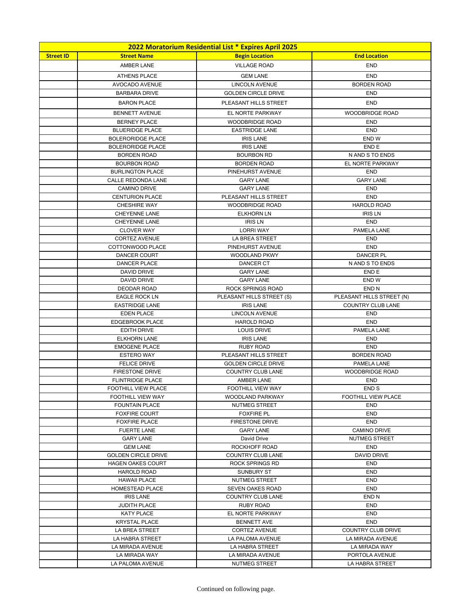|                  | 2022 Moratorium Residential List * Expires April 2025 |                                               |                                      |  |
|------------------|-------------------------------------------------------|-----------------------------------------------|--------------------------------------|--|
| <b>Street ID</b> | <b>Street Name</b>                                    | <b>Begin Location</b>                         | <b>End Location</b>                  |  |
|                  | <b>AMBER LANE</b>                                     | <b>VILLAGE ROAD</b>                           | <b>END</b>                           |  |
|                  | <b>ATHENS PLACE</b>                                   | <b>GEM LANE</b>                               | <b>END</b>                           |  |
|                  | AVOCADO AVENUE                                        | <b>LINCOLN AVENUE</b>                         | <b>BORDEN ROAD</b>                   |  |
|                  | <b>BARBARA DRIVE</b>                                  | <b>GOLDEN CIRCLE DRIVE</b>                    | <b>END</b>                           |  |
|                  | <b>BARON PLACE</b>                                    | PLEASANT HILLS STREET                         | <b>END</b>                           |  |
|                  | <b>BENNETT AVENUE</b>                                 | EL NORTE PARKWAY                              | <b>WOODBRIDGE ROAD</b>               |  |
|                  | <b>BERNEY PLACE</b>                                   | <b>WOODBRIDGE ROAD</b>                        | <b>END</b>                           |  |
|                  | <b>BLUERIDGE PLACE</b>                                | <b>EASTRIDGE LANE</b>                         | <b>END</b>                           |  |
|                  | <b>BOLERORIDGE PLACE</b>                              | <b>IRIS LANE</b>                              | END W                                |  |
|                  | <b>BOLERORIDGE PLACE</b>                              | <b>IRIS LANE</b>                              | END <sub>E</sub>                     |  |
|                  | <b>BORDEN ROAD</b>                                    | <b>BOURBON RD</b>                             | N AND S TO ENDS                      |  |
|                  | <b>BOURBON ROAD</b>                                   | <b>BORDEN ROAD</b>                            | EL NORTE PARKWAY                     |  |
|                  | <b>BURLINGTON PLACE</b>                               | PINEHURST AVENUE                              | <b>END</b>                           |  |
|                  | CALLE REDONDA LANE                                    | <b>GARY LANE</b>                              | <b>GARY LANE</b>                     |  |
|                  | <b>CAMINO DRIVE</b>                                   | <b>GARY LANE</b>                              | <b>END</b>                           |  |
|                  | <b>CENTURION PLACE</b>                                | PLEASANT HILLS STREET                         | <b>END</b>                           |  |
|                  | <b>CHESHIRE WAY</b>                                   | <b>WOODBRIDGE ROAD</b>                        | <b>HAROLD ROAD</b>                   |  |
|                  | <b>CHEYENNE LANE</b>                                  | <b>ELKHORN LN</b>                             | <b>IRIS LN</b>                       |  |
|                  | CHEYENNE LANE                                         | <b>IRIS LN</b>                                | END                                  |  |
|                  | <b>CLOVER WAY</b>                                     | <b>LORRI WAY</b>                              | PAMELA LANE                          |  |
|                  | <b>CORTEZ AVENUE</b><br>COTTONWOOD PLACE              | LA BREA STREET<br>PINEHURST AVENUE            | <b>END</b><br><b>END</b>             |  |
|                  | DANCER COURT                                          | <b>WOODLAND PKWY</b>                          | <b>DANCER PL</b>                     |  |
|                  | <b>DANCER PLACE</b>                                   | DANCER CT                                     | N AND S TO ENDS                      |  |
|                  | <b>DAVID DRIVE</b>                                    | <b>GARY LANE</b>                              | END E                                |  |
|                  | <b>DAVID DRIVE</b>                                    | <b>GARY LANE</b>                              | END W                                |  |
|                  | <b>DEODAR ROAD</b>                                    | ROCK SPRINGS ROAD                             | END <sub>N</sub>                     |  |
|                  | <b>EAGLE ROCK LN</b>                                  | PLEASANT HILLS STREET (S)                     | PLEASANT HILLS STREET (N)            |  |
|                  | <b>EASTRIDGE LANE</b>                                 | <b>IRIS LANE</b>                              | <b>COUNTRY CLUB LANE</b>             |  |
|                  | <b>EDEN PLACE</b>                                     | <b>LINCOLN AVENUE</b>                         | END                                  |  |
|                  | <b>EDGEBROOK PLACE</b>                                | <b>HAROLD ROAD</b>                            | <b>END</b>                           |  |
|                  | EDITH DRIVE                                           | <b>LOUIS DRIVE</b>                            | PAMELA LANE                          |  |
|                  | <b>ELKHORN LANE</b>                                   | <b>IRIS LANE</b>                              | <b>END</b>                           |  |
|                  | <b>EMOGENE PLACE</b>                                  | <b>RUBY ROAD</b>                              | END                                  |  |
|                  | <b>ESTERO WAY</b>                                     | PLEASANT HILLS STREET                         | <b>BORDEN ROAD</b>                   |  |
|                  | <b>FELICE DRIVE</b>                                   | <b>GOLDEN CIRCLE DRIVE</b>                    | PAMELA LANE                          |  |
|                  | <b>FIRESTONE DRIVE</b><br><b>FLINTRIDGE PLACE</b>     | <b>COUNTRY CLUB LANE</b><br><b>AMBER LANE</b> | <b>WOODBRIDGE ROAD</b><br><b>END</b> |  |
|                  | FOOTHILL VIEW PLACE                                   | FOOTHILL VIEW WAY                             | END <sub>S</sub>                     |  |
|                  | FOOTHILL VIEW WAY                                     | <b>WOODLAND PARKWAY</b>                       | <b>FOOTHILL VIEW PLACE</b>           |  |
|                  | <b>FOUNTAIN PLACE</b>                                 | NUTMEG STREET                                 | <b>END</b>                           |  |
|                  | <b>FOXFIRE COURT</b>                                  | <b>FOXFIRE PL</b>                             | <b>END</b>                           |  |
|                  | <b>FOXFIRE PLACE</b>                                  | FIRESTONE DRIVE                               | <b>END</b>                           |  |
|                  | <b>FUERTE LANE</b>                                    | <b>GARY LANE</b>                              | <b>CAMINO DRIVE</b>                  |  |
|                  | <b>GARY LANE</b>                                      | David Drive                                   | <b>NUTMEG STREET</b>                 |  |
|                  | <b>GEM LANE</b>                                       | ROCKHOFF ROAD                                 | END                                  |  |
|                  | <b>GOLDEN CIRCLE DRIVE</b>                            | <b>COUNTRY CLUB LANE</b>                      | <b>DAVID DRIVE</b>                   |  |
|                  | <b>HAGEN OAKES COURT</b>                              | ROCK SPRINGS RD                               | END                                  |  |
|                  | <b>HAROLD ROAD</b>                                    | SUNBURY ST                                    | END                                  |  |
|                  | <b>HAWAII PLACE</b>                                   | NUTMEG STREET                                 | <b>END</b>                           |  |
|                  | HOMESTEAD PLACE<br><b>IRIS LANE</b>                   | <b>SEVEN OAKES ROAD</b>                       | END                                  |  |
|                  | <b>JUDITH PLACE</b>                                   | COUNTRY CLUB LANE<br>RUBY ROAD                | END <sub>N</sub><br><b>END</b>       |  |
|                  | <b>KATY PLACE</b>                                     | EL NORTE PARKWAY                              | <b>END</b>                           |  |
|                  | <b>KRYSTAL PLACE</b>                                  | <b>BENNETT AVE</b>                            | <b>END</b>                           |  |
|                  | LA BREA STREET                                        | <b>CORTEZ AVENUE</b>                          | <b>COUNTRY CLUB DRIVE</b>            |  |
|                  | LA HABRA STREET                                       | LA PALOMA AVENUE                              | LA MIRADA AVENUE                     |  |
|                  | LA MIRADA AVENUE                                      | LA HABRA STREET                               | LA MIRADA WAY                        |  |
|                  | LA MIRADA WAY                                         | LA MIRADA AVENUE                              | PORTOLA AVENUE                       |  |
|                  | LA PALOMA AVENUE                                      | NUTMEG STREET                                 | LA HABRA STREET                      |  |